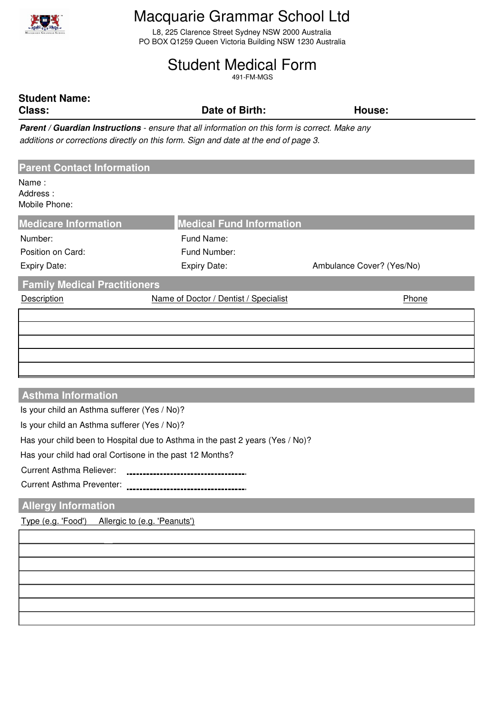

# Macquarie Grammar School Ltd

L8, 225 Clarence Street Sydney NSW 2000 Australia PO BOX Q1259 Queen Victoria Building NSW 1230 Australia

# Student Medical Form

491-FM-MGS

# **Student Name:**

**Class: Date of Birth: House:**

**Parent / Guardian Instructions** *- ensure that all information on this form is correct. Make any additions or corrections directly on this form. Sign and date at the end of page 3.*

| <b>Parent Contact Information</b>            |                                       |                           |  |  |  |
|----------------------------------------------|---------------------------------------|---------------------------|--|--|--|
| Name:<br>Address:<br>Mobile Phone:           |                                       |                           |  |  |  |
| <b>Medicare Information</b>                  | <b>Medical Fund Information</b>       |                           |  |  |  |
| Number:                                      | Fund Name:                            |                           |  |  |  |
| Position on Card:                            | Fund Number:                          |                           |  |  |  |
| <b>Expiry Date:</b>                          | Expiry Date:                          | Ambulance Cover? (Yes/No) |  |  |  |
| <b>Family Medical Practitioners</b>          |                                       |                           |  |  |  |
| <b>Description</b>                           | Name of Doctor / Dentist / Specialist | Phone                     |  |  |  |
|                                              |                                       |                           |  |  |  |
|                                              |                                       |                           |  |  |  |
|                                              |                                       |                           |  |  |  |
|                                              |                                       |                           |  |  |  |
|                                              |                                       |                           |  |  |  |
|                                              |                                       |                           |  |  |  |
| <b>Asthma Information</b>                    |                                       |                           |  |  |  |
| Is your child an Asthma sufferer (Yes / No)? |                                       |                           |  |  |  |

Is your child an Asthma sufferer (Yes / No)?

Has your child been to Hospital due to Asthma in the past 2 years (Yes / No)?

-----------------------------------

Has your child had oral Cortisone in the past 12 Months?

Current Asthma Reliever:

Current Asthma Preventer:

## **Allergy Information**

Type (e.g. 'Food') Allergic to (e.g. 'Peanuts')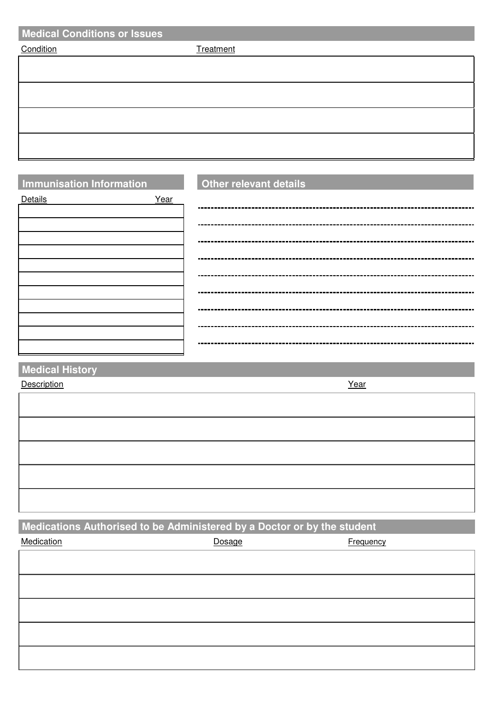| <b>Medical Conditions or Issues</b> |           |  |  |  |
|-------------------------------------|-----------|--|--|--|
| Condition                           | Treatment |  |  |  |
|                                     |           |  |  |  |
|                                     |           |  |  |  |
|                                     |           |  |  |  |
|                                     |           |  |  |  |
|                                     |           |  |  |  |
|                                     |           |  |  |  |
|                                     |           |  |  |  |

# **Immunisation Information Other relevant details**

Details **Year** 

**Medical History**

Description Year

**Medications Authorised to be Administered by a Doctor or by the student**

| Medication | Dosage | Frequency |
|------------|--------|-----------|
|            |        |           |
|            |        |           |
|            |        |           |
|            |        |           |
|            |        |           |
|            |        |           |
|            |        |           |
|            |        |           |